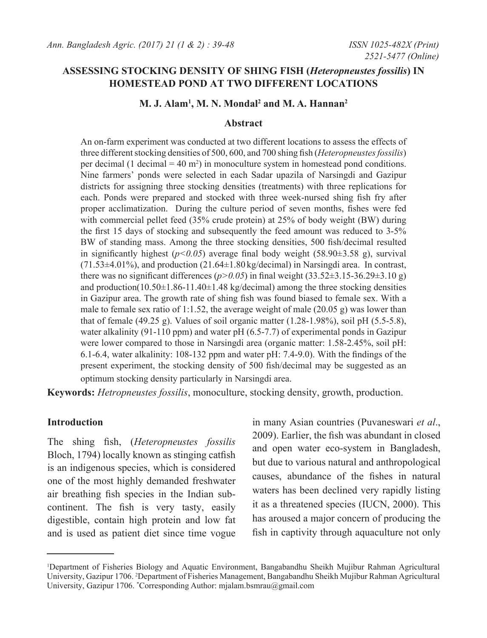# **ASSESSING STOCKING DENSITY OF SHING FISH (***Heteropneustes fossilis***) IN HOMESTEAD POND AT TWO DIFFERENT LOCATIONS**

# **M. J. Alam1 , M. N. Mondal2 and M. A. Hannan2**

#### **Abstract**

An on-farm experiment was conducted at two different locations to assess the effects of three different stocking densities of 500, 600, and 700 shing fish (*Heteropneustes fossilis*) per decimal (1 decimal = 40 m<sup>2</sup> ) in monoculture system in homestead pond conditions. Nine farmers' ponds were selected in each Sadar upazila of Narsingdi and Gazipur districts for assigning three stocking densities (treatments) with three replications for each. Ponds were prepared and stocked with three week-nursed shing fish fry after proper acclimatization. During the culture period of seven months, fishes were fed with commercial pellet feed (35% crude protein) at 25% of body weight (BW) during the first 15 days of stocking and subsequently the feed amount was reduced to 3-5% BW of standing mass. Among the three stocking densities, 500 fish/decimal resulted in significantly highest  $(p<0.05)$  average final body weight (58.90 $\pm$ 3.58 g), survival  $(71.53\pm4.01\%)$ , and production  $(21.64\pm1.80 \text{ kg/decimal})$  in Narsingdi area. In contrast, there was no significant differences ( $p$ >0.05) in final weight (33.52 $\pm$ 3.15-36.29 $\pm$ 3.10 g) and production( $10.50\pm1.86$ -11.40 $\pm1.48$  kg/decimal) among the three stocking densities in Gazipur area. The growth rate of shing fish was found biased to female sex. With a male to female sex ratio of 1:1.52, the average weight of male (20.05 g) was lower than that of female (49.25 g). Values of soil organic matter  $(1.28-1.98\%)$ , soil pH  $(5.5-5.8)$ , water alkalinity (91-110 ppm) and water pH (6.5-7.7) of experimental ponds in Gazipur were lower compared to those in Narsingdi area (organic matter: 1.58-2.45%, soil pH: 6.1-6.4, water alkalinity: 108-132 ppm and water pH: 7.4-9.0). With the findings of the present experiment, the stocking density of 500 fish/decimal may be suggested as an optimum stocking density particularly in Narsingdi area.

**Keywords:** *Hetropneustes fossilis*, monoculture, stocking density, growth, production.

#### **Introduction**

The shing fish, (*Heteropneustes fossilis*  Bloch, 1794) locally known as stinging catfish is an indigenous species, which is considered one of the most highly demanded freshwater air breathing fish species in the Indian subcontinent. The fish is very tasty, easily digestible, contain high protein and low fat and is used as patient diet since time vogue in many Asian countries (Puvaneswari *et al*., 2009). Earlier, the fish was abundant in closed and open water eco-system in Bangladesh, but due to various natural and anthropological causes, abundance of the fishes in natural waters has been declined very rapidly listing it as a threatened species (IUCN, 2000). This has aroused a major concern of producing the fish in captivity through aquaculture not only

<sup>1</sup> Department of Fisheries Biology and Aquatic Environment, Bangabandhu Sheikh Mujibur Rahman Agricultural University, Gazipur 1706. <sup>2</sup> Department of Fisheries Management, Bangabandhu Sheikh Mujibur Rahman Agricultural University, Gazipur 1706. \* Corresponding Author: mjalam.bsmrau@gmail.com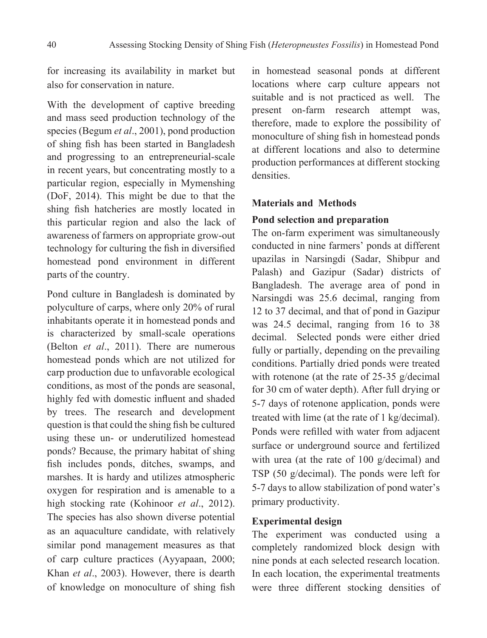for increasing its availability in market but also for conservation in nature.

With the development of captive breeding and mass seed production technology of the species (Begum *et al*., 2001), pond production of shing fish has been started in Bangladesh and progressing to an entrepreneurial-scale in recent years, but concentrating mostly to a particular region, especially in Mymenshing (DoF, 2014). This might be due to that the shing fish hatcheries are mostly located in this particular region and also the lack of awareness of farmers on appropriate grow-out technology for culturing the fish in diversified homestead pond environment in different parts of the country.

Pond culture in Bangladesh is dominated by polyculture of carps, where only 20% of rural inhabitants operate it in homestead ponds and is characterized by small-scale operations (Belton *et al*., 2011). There are numerous homestead ponds which are not utilized for carp production due to unfavorable ecological conditions, as most of the ponds are seasonal, highly fed with domestic influent and shaded by trees. The research and development question is that could the shing fish be cultured using these un- or underutilized homestead ponds? Because, the primary habitat of shing fish includes ponds, ditches, swamps, and marshes. It is hardy and utilizes atmospheric oxygen for respiration and is amenable to a high stocking rate (Kohinoor *et al*., 2012). The species has also shown diverse potential as an aquaculture candidate, with relatively similar pond management measures as that of carp culture practices (Ayyapaan, 2000; Khan *et al*., 2003). However, there is dearth of knowledge on monoculture of shing fish

in homestead seasonal ponds at different locations where carp culture appears not suitable and is not practiced as well. The present on-farm research attempt was, therefore, made to explore the possibility of monoculture of shing fish in homestead ponds at different locations and also to determine production performances at different stocking densities.

# **Materials and Methods**

### **Pond selection and preparation**

The on-farm experiment was simultaneously conducted in nine farmers' ponds at different upazilas in Narsingdi (Sadar, Shibpur and Palash) and Gazipur (Sadar) districts of Bangladesh. The average area of pond in Narsingdi was 25.6 decimal, ranging from 12 to 37 decimal, and that of pond in Gazipur was 24.5 decimal, ranging from 16 to 38 decimal. Selected ponds were either dried fully or partially, depending on the prevailing conditions. Partially dried ponds were treated with rotenone (at the rate of 25-35 g/decimal for 30 cm of water depth). After full drying or 5-7 days of rotenone application, ponds were treated with lime (at the rate of 1 kg/decimal). Ponds were refilled with water from adjacent surface or underground source and fertilized with urea (at the rate of 100 g/decimal) and TSP (50 g/decimal). The ponds were left for 5-7 days to allow stabilization of pond water's primary productivity.

# **Experimental design**

The experiment was conducted using a completely randomized block design with nine ponds at each selected research location. In each location, the experimental treatments were three different stocking densities of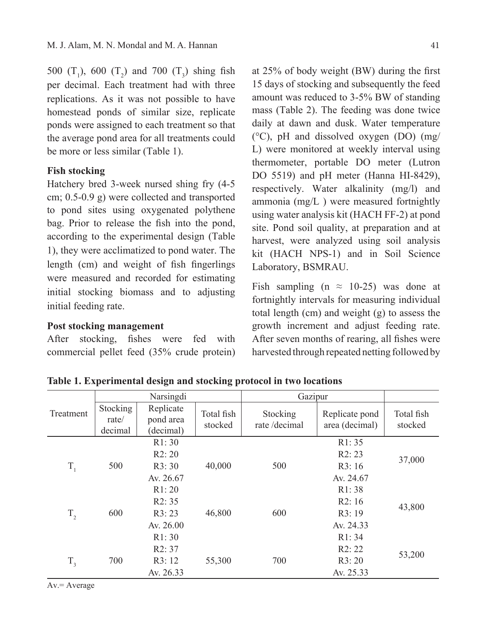500  $(T_1)$ , 600  $(T_2)$  and 700  $(T_3)$  shing fish per decimal. Each treatment had with three replications. As it was not possible to have homestead ponds of similar size, replicate ponds were assigned to each treatment so that the average pond area for all treatments could be more or less similar (Table 1).

# **Fish stocking**

Hatchery bred 3-week nursed shing fry (4-5 cm; 0.5-0.9 g) were collected and transported to pond sites using oxygenated polythene bag. Prior to release the fish into the pond, according to the experimental design (Table 1), they were acclimatized to pond water. The length (cm) and weight of fish fingerlings were measured and recorded for estimating initial stocking biomass and to adjusting initial feeding rate.

### **Post stocking management**

After stocking, fishes were fed with commercial pellet feed (35% crude protein)

at 25% of body weight (BW) during the first 15 days of stocking and subsequently the feed amount was reduced to 3-5% BW of standing mass (Table 2). The feeding was done twice daily at dawn and dusk. Water temperature (°C), pH and dissolved oxygen (DO) (mg/ L) were monitored at weekly interval using thermometer, portable DO meter (Lutron DO 5519) and pH meter (Hanna HI-8429), respectively. Water alkalinity (mg/l) and ammonia (mg/L ) were measured fortnightly using water analysis kit (HACH FF-2) at pond site. Pond soil quality, at preparation and at harvest, were analyzed using soil analysis kit (HACH NPS-1) and in Soil Science Laboratory, BSMRAU.

Fish sampling (n  $\approx$  10-25) was done at fortnightly intervals for measuring individual total length (cm) and weight (g) to assess the growth increment and adjust feeding rate. After seven months of rearing, all fishes were harvested through repeated netting followed by

|           |                              | Narsingdi                           |                       | Gazipur                  |                                  |                       |  |
|-----------|------------------------------|-------------------------------------|-----------------------|--------------------------|----------------------------------|-----------------------|--|
| Treatment | Stocking<br>rate/<br>decimal | Replicate<br>pond area<br>(decimal) | Total fish<br>stocked | Stocking<br>rate/decimal | Replicate pond<br>area (decimal) | Total fish<br>stocked |  |
|           |                              | R1:30                               |                       |                          | R1:35                            |                       |  |
|           |                              | R2:20                               |                       |                          | R2:23                            | 37,000                |  |
| $T_{1}$   | 500                          | R3:30                               | 40,000                | 500                      | R3:16                            |                       |  |
|           |                              | Av. 26.67                           |                       |                          | Av. 24.67                        |                       |  |
|           |                              | R1:20                               |                       |                          | R1:38                            |                       |  |
|           | 600                          | R2:35                               |                       |                          | R2:16                            | 43,800                |  |
| $T_{2}$   |                              | R3:23                               | 46,800                | 600                      | R3:19                            |                       |  |
|           |                              | Av. $26.00$                         |                       |                          | Av. 24.33                        |                       |  |
|           |                              | R1:30                               |                       |                          | R1:34                            |                       |  |
|           |                              | R2:37                               |                       |                          | R2:22                            |                       |  |
| $T_{3}$   | 700                          | R3:12                               | 55,300                | 700                      | R3:20                            | 53,200                |  |
|           |                              | Av. 26.33                           |                       |                          | Av. 25.33                        |                       |  |

**Table 1. Experimental design and stocking protocol in two locations** 

 $Av = Average$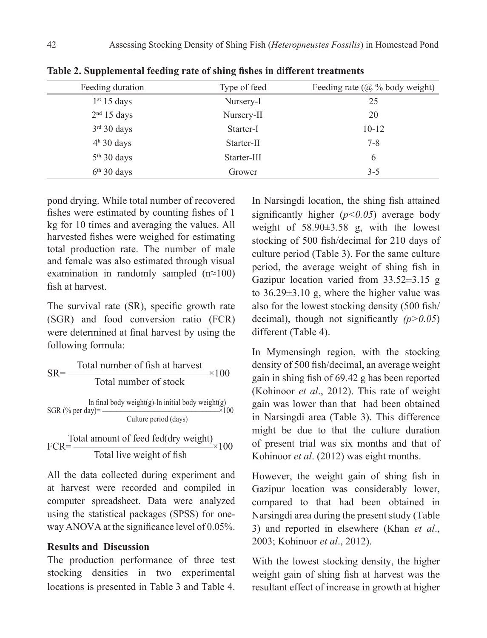| Feeding duration        | Type of feed | Feeding rate $(a)$ % body weight) |
|-------------------------|--------------|-----------------------------------|
| 1 <sup>st</sup> 15 days | Nursery-I    | 25                                |
| 2 <sup>nd</sup> 15 days | Nursery-II   | 20                                |
| $3rd 30$ days           | Starter-I    | $10 - 12$                         |
| $4h$ 30 days            | Starter-II   | $7 - 8$                           |
| $5th$ 30 days           | Starter-III  | 6                                 |
| $6th$ 30 days           | Grower       | $3 - 5$                           |

**Table 2. Supplemental feeding rate of shing fishes in different treatments**

pond drying. While total number of recovered fishes were estimated by counting fishes of 1 kg for 10 times and averaging the values. All harvested fishes were weighed for estimating total production rate. The number of male and female was also estimated through visual examination in randomly sampled (n≈100) fish at harvest.

The survival rate (SR), specific growth rate (SGR) and food conversion ratio (FCR) were determined at final harvest by using the following formula:

$$
SR = \frac{\text{Total number of fish at harvest}}{\text{Total number of stock}} \times 100
$$
\n
$$
\ln \text{final body weight(g)} - \ln \text{ initial body weight(g)}
$$
\n
$$
SGR (\% \text{ per day}) = \frac{\text{Cluster period (days)}}{\text{Cluster period (days)}}
$$

Total amount of feed fed(dry weight)<br> $FCR = \frac{1000 \text{ m/s}}{1000 \text{ m/s}}$ Total live weight of fish

All the data collected during experiment and at harvest were recorded and compiled in computer spreadsheet. Data were analyzed using the statistical packages (SPSS) for oneway ANOVA at the significance level of 0.05%.

## **Results and Discussion**

The production performance of three test stocking densities in two experimental locations is presented in Table 3 and Table 4.

In Narsingdi location, the shing fish attained significantly higher  $(p<0.05)$  average body weight of 58.90±3.58 g, with the lowest stocking of 500 fish/decimal for 210 days of culture period (Table 3). For the same culture period, the average weight of shing fish in Gazipur location varied from 33.52±3.15 g to  $36.29 \pm 3.10$  g, where the higher value was also for the lowest stocking density (500 fish/ decimal), though not significantly *(p>0.05*) different (Table 4).

In Mymensingh region, with the stocking density of 500 fish/decimal, an average weight gain in shing fish of 69.42 g has been reported (Kohinoor *et al*., 2012). This rate of weight gain was lower than that had been obtained in Narsingdi area (Table 3). This difference might be due to that the culture duration of present trial was six months and that of Kohinoor *et al*. (2012) was eight months.

However, the weight gain of shing fish in Gazipur location was considerably lower, compared to that had been obtained in Narsingdi area during the present study (Table 3) and reported in elsewhere (Khan *et al*., 2003; Kohinoor *et al*., 2012).

With the lowest stocking density, the higher weight gain of shing fish at harvest was the resultant effect of increase in growth at higher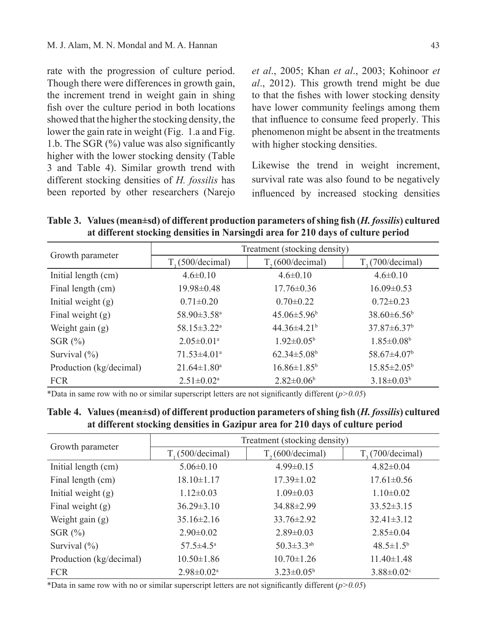rate with the progression of culture period. Though there were differences in growth gain, the increment trend in weight gain in shing fish over the culture period in both locations showed that the higher the stocking density, the lower the gain rate in weight (Fig. 1.a and Fig. 1.b. The SGR (%) value was also significantly higher with the lower stocking density (Table 3 and Table 4). Similar growth trend with different stocking densities of *H. fossilis* has been reported by other researchers (Narejo

*et al*., 2005; Khan *et al*., 2003; Kohinoor *et al*., 2012). This growth trend might be due to that the fishes with lower stocking density have lower community feelings among them that influence to consume feed properly. This phenomenon might be absent in the treatments with higher stocking densities.

Likewise the trend in weight increment, survival rate was also found to be negatively influenced by increased stocking densities

**Table 3. Values (mean±sd) of different production parameters of shing fish (***H. fossilis***) cultured at different stocking densities in Narsingdi area for 210 days of culture period** 

|                         | Treatment (stocking density)  |                               |                               |  |  |  |  |
|-------------------------|-------------------------------|-------------------------------|-------------------------------|--|--|--|--|
| Growth parameter        | $T(500/\text{decimal})$       | T <sub>2</sub> (600/decimal)  | $T2$ (700/decimal)            |  |  |  |  |
| Initial length (cm)     | $4.6 \pm 0.10$                | $4.6 \pm 0.10$                | $4.6 \pm 0.10$                |  |  |  |  |
| Final length (cm)       | $19.98 \pm 0.48$              | $17.76 \pm 0.36$              | $16.09 \pm 0.53$              |  |  |  |  |
| Initial weight $(g)$    | $0.71 \pm 0.20$               | $0.70 \pm 0.22$               | $0.72 \pm 0.23$               |  |  |  |  |
| Final weight $(g)$      | $58.90 \pm 3.58$ <sup>a</sup> | $45.06\pm5.96^{\circ}$        | $38.60\pm 6.56^{\circ}$       |  |  |  |  |
| Weight gain $(g)$       | $58.15 \pm 3.22^{\text{a}}$   | $44.36 \pm 4.21^b$            | $37.87 \pm 6.37^b$            |  |  |  |  |
| SGR $(\%)$              | $2.05 \pm 0.01$ <sup>a</sup>  | $1.92 \pm 0.05^{\rm b}$       | $1.85 \pm 0.08^b$             |  |  |  |  |
| Survival $(\% )$        | $71.53 \pm 4.01$ <sup>a</sup> | $62.34 \pm 5.08$ <sup>b</sup> | $58.67 \pm 4.07$ <sup>b</sup> |  |  |  |  |
| Production (kg/decimal) | $21.64 \pm 1.80^a$            | $16.86 \pm 1.85^b$            | $15.85 \pm 2.05^{\circ}$      |  |  |  |  |
| <b>FCR</b>              | $2.51 \pm 0.02^a$             | $2.82\pm0.06^b$               | $3.18\pm0.03b$                |  |  |  |  |

\*Data in same row with no or similar superscript letters are not significantly different (*p>0.05*)

**Table 4. Values (mean±sd) of different production parameters of shing fish (***H. fossilis***) cultured at different stocking densities in Gazipur area for 210 days of culture period**

|                         | Treatment (stocking density) |                              |                        |  |  |  |  |
|-------------------------|------------------------------|------------------------------|------------------------|--|--|--|--|
| Growth parameter        | T <sub>1</sub> (500/decimal) | T <sub>2</sub> (600/decimal) | $T1$ (700/decimal)     |  |  |  |  |
| Initial length (cm)     | $5.06 \pm 0.10$              | $4.99 \pm 0.15$              | $4.82 \pm 0.04$        |  |  |  |  |
| Final length (cm)       | $18.10 \pm 1.17$             | $17.39 \pm 1.02$             | $17.61 \pm 0.56$       |  |  |  |  |
| Initial weight $(g)$    | $1.12 \pm 0.03$              | $1.09 \pm 0.03$              | $1.10\pm0.02$          |  |  |  |  |
| Final weight $(g)$      | $36.29 \pm 3.10$             | $34.88 \pm 2.99$             | $33.52 \pm 3.15$       |  |  |  |  |
| Weight gain $(g)$       | $35.16 \pm 2.16$             | $33.76 \pm 2.92$             | $32.41 \pm 3.12$       |  |  |  |  |
| SGR $(\%)$              | $2.90 \pm 0.02$              | $2.89 \pm 0.03$              | $2.85 \pm 0.04$        |  |  |  |  |
| Survival $(\% )$        | $57.5 \pm 4.5^{\circ}$       | $50.3 \pm 3.3$ <sup>ab</sup> | $48.5 \pm 1.5^{\rm b}$ |  |  |  |  |
| Production (kg/decimal) | $10.50 \pm 1.86$             | $10.70 \pm 1.26$             | $11.40 \pm 1.48$       |  |  |  |  |
| <b>FCR</b>              | $2.98 \pm 0.02^{\text{a}}$   | $3.23 \pm 0.05^b$            | $3.88 \pm 0.02$        |  |  |  |  |

\*Data in same row with no or similar superscript letters are not significantly different (*p>0.05*)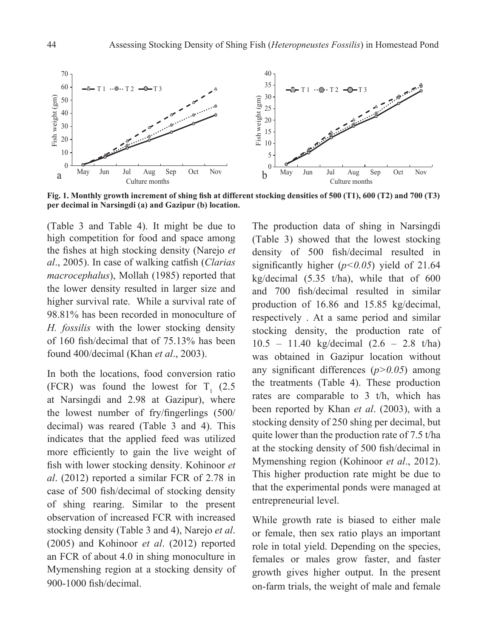

**Fig. 1. Monthly growth increment of shing fish at different stocking densities of 500 (T1), 600 (T2) and 700 (T3) per decimal in Narsingdi (a) and Gazipur (b) location.**

(Table 3 and Table 4). It might be due to high competition for food and space among the fishes at high stocking density (Narejo *et al*., 2005). In case of walking catfish (*Clarias macrocephalus*), Mollah (1985) reported that the lower density resulted in larger size and higher survival rate. While a survival rate of 98.81% has been recorded in monoculture of *H. fossilis* with the lower stocking density of 160 fish/decimal that of 75.13% has been found 400/decimal (Khan *et al*., 2003).

In both the locations, food conversion ratio (FCR) was found the lowest for  $T_1$  (2.5) at Narsingdi and 2.98 at Gazipur), where the lowest number of fry/fingerlings (500/ decimal) was reared (Table 3 and 4). This indicates that the applied feed was utilized more efficiently to gain the live weight of fish with lower stocking density. Kohinoor *et al*. (2012) reported a similar FCR of 2.78 in case of 500 fish/decimal of stocking density of shing rearing. Similar to the present observation of increased FCR with increased stocking density (Table 3 and 4), Narejo *et al*. (2005) and Kohinoor *et al*. (2012) reported an FCR of about 4.0 in shing monoculture in Mymenshing region at a stocking density of 900-1000 fish/decimal.

The production data of shing in Narsingdi (Table 3) showed that the lowest stocking density of 500 fish/decimal resulted in significantly higher  $(p<0.05)$  yield of 21.64 kg/decimal  $(5.35 \t{t/ha})$ , while that of 600 and 700 fish/decimal resulted in similar production of 16.86 and 15.85 kg/decimal, respectively . At a same period and similar stocking density, the production rate of 10.5 – 11.40 kg/decimal (2.6 – 2.8 t/ha) was obtained in Gazipur location without any significant differences (*p>0.05*) among the treatments (Table 4). These production rates are comparable to 3 t/h, which has been reported by Khan *et al*. (2003), with a stocking density of 250 shing per decimal, but quite lower than the production rate of 7.5 t/ha at the stocking density of 500 fish/decimal in Mymenshing region (Kohinoor *et al*., 2012). This higher production rate might be due to that the experimental ponds were managed at entrepreneurial level.

While growth rate is biased to either male or female, then sex ratio plays an important role in total yield. Depending on the species, females or males grow faster, and faster growth gives higher output. In the present on-farm trials, the weight of male and female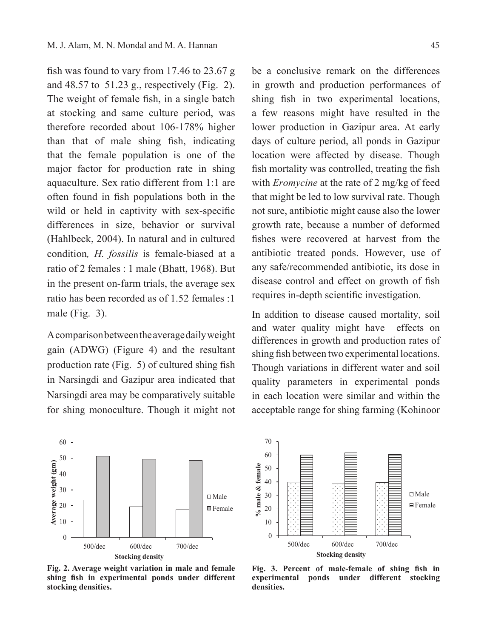fish was found to vary from 17.46 to 23.67 g and 48.57 to 51.23 g., respectively (Fig. 2). The weight of female fish, in a single batch at stocking and same culture period, was therefore recorded about 106-178% higher than that of male shing fish, indicating that the female population is one of the major factor for production rate in shing aquaculture. Sex ratio different from 1:1 are often found in fish populations both in the wild or held in captivity with sex-specific differences in size, behavior or survival (Hahlbeck, 2004). In natural and in cultured condition*, H. fossilis* is female-biased at a ratio of 2 females : 1 male (Bhatt, 1968). But in the present on-farm trials, the average sex ratio has been recorded as of 1.52 females :1 male (Fig. 3).

A comparison between the average daily weight gain (ADWG) (Figure 4) and the resultant production rate (Fig. 5) of cultured shing fish in Narsingdi and Gazipur area indicated that Narsingdi area may be comparatively suitable for shing monoculture. Though it might not

be a conclusive remark on the differences in growth and production performances of shing fish in two experimental locations, a few reasons might have resulted in the lower production in Gazipur area. At early days of culture period, all ponds in Gazipur location were affected by disease. Though fish mortality was controlled, treating the fish with *Eromycine* at the rate of 2 mg/kg of feed that might be led to low survival rate. Though not sure, antibiotic might cause also the lower growth rate, because a number of deformed fishes were recovered at harvest from the antibiotic treated ponds. However, use of any safe/recommended antibiotic, its dose in disease control and effect on growth of fish requires in-depth scientific investigation.

In addition to disease caused mortality, soil and water quality might have effects on differences in growth and production rates of shing fish between two experimental locations. Though variations in different water and soil quality parameters in experimental ponds in each location were similar and within the acceptable range for shing farming (Kohinoor



**Fig. 2. Average weight variation in male and female shing fish in experimental ponds under different stocking densities.**



**Fig. 3. Percent of male-female of shing fish in experimental ponds under different stocking densities.**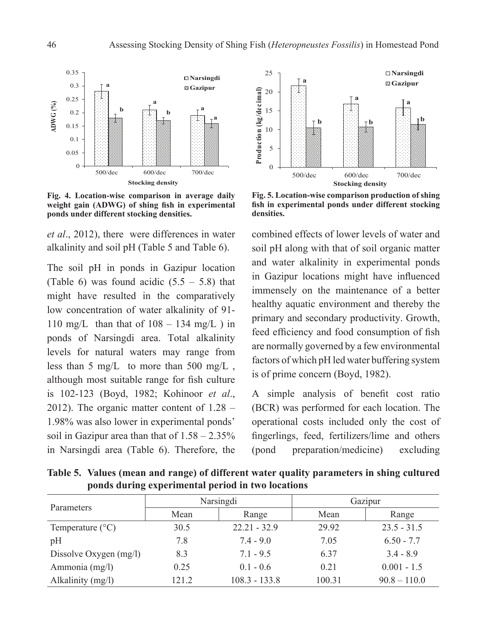

**Fig. 4. Location-wise comparison in average daily weight gain (ADWG) of shing fish in experimental ponds under different stocking densities.**

*et al*., 2012), there were differences in water alkalinity and soil pH (Table 5 and Table 6).

The soil pH in ponds in Gazipur location (Table 6) was found acidic  $(5.5 - 5.8)$  that might have resulted in the comparatively low concentration of water alkalinity of 91- 110 mg/L than that of  $108 - 134$  mg/L) in ponds of Narsingdi area. Total alkalinity levels for natural waters may range from less than 5 mg/L to more than 500 mg/L, although most suitable range for fish culture is 102-123 (Boyd, 1982; Kohinoor *et al*., 2012). The organic matter content of 1.28 – 1.98% was also lower in experimental ponds' soil in Gazipur area than that of 1.58 – 2.35% in Narsingdi area (Table 6). Therefore, the



**Fig. 5. Location-wise comparison production of shing fish in experimental ponds under different stocking densities.**

combined effects of lower levels of water and soil pH along with that of soil organic matter and water alkalinity in experimental ponds in Gazipur locations might have influenced immensely on the maintenance of a better healthy aquatic environment and thereby the primary and secondary productivity. Growth, feed efficiency and food consumption of fish are normally governed by a few environmental factors of which pH led water buffering system is of prime concern (Boyd, 1982).

A simple analysis of benefit cost ratio (BCR) was performed for each location. The operational costs included only the cost of fingerlings, feed, fertilizers/lime and others (pond preparation/medicine) excluding

Parameters Narsingdi Gazipur Mean Range Mean Range Temperature (°C) 30.5 22.21 - 32.9 29.92 23.5 - 31.5 pH 7.8 7.4 - 9.0 7.05 6.50 - 7.7 Dissolve Oxygen (mg/l) 8.3 7.1 - 9.5 6.37 3.4 - 8.9 Ammonia (mg/l)  $0.25$  0.1 - 0.6 0.21 0.001 - 1.5 Alkalinity (mg/l) 121.2 108.3 - 133.8 100.31 90.8 – 110.0

**Table 5. Values (mean and range) of different water quality parameters in shing cultured ponds during experimental period in two locations**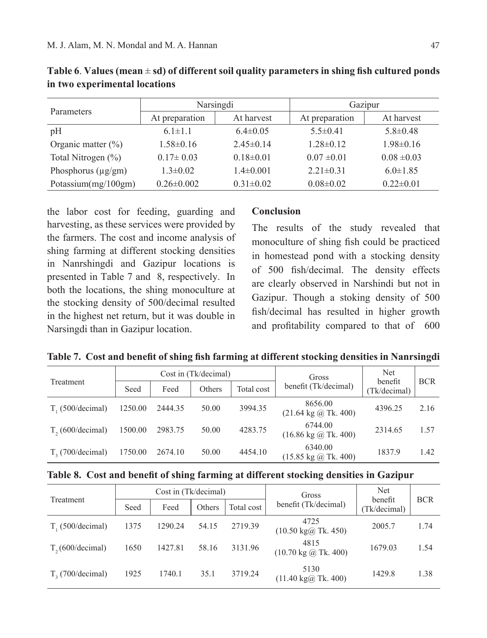| Parameters              | Narsingdi        |                 | Gazipur         |                 |  |
|-------------------------|------------------|-----------------|-----------------|-----------------|--|
|                         | At preparation   | At harvest      | At preparation  | At harvest      |  |
| pH                      | $6.1 \pm 1.1$    | $6.4\pm0.05$    | $5.5 \pm 0.41$  | $5.8 \pm 0.48$  |  |
| Organic matter $(\% )$  | $1.58 \pm 0.16$  | $2.45\pm0.14$   | $1.28 \pm 0.12$ | $1.98 \pm 0.16$ |  |
| Total Nitrogen (%)      | $0.17 \pm 0.03$  | $0.18 \pm 0.01$ | $0.07 \pm 0.01$ | $0.08 \pm 0.03$ |  |
| Phosphorus $(\mu g/gm)$ | $1.3 \pm 0.02$   | $1.4 \pm 0.001$ | $2.21 \pm 0.31$ | $6.0 \pm 1.85$  |  |
| Potassium(mg/100gm)     | $0.26 \pm 0.002$ | $0.31 \pm 0.02$ | $0.08 \pm 0.02$ | $0.22 \pm 0.01$ |  |

**Table 6**. **Values (mean** ± **sd) of different soil quality parameters in shing fish cultured ponds in two experimental locations**

the labor cost for feeding, guarding and harvesting, as these services were provided by the farmers. The cost and income analysis of shing farming at different stocking densities in Nanrshingdi and Gazipur locations is presented in Table 7 and 8, respectively. In both the locations, the shing monoculture at the stocking density of 500/decimal resulted in the highest net return, but it was double in Narsingdi than in Gazipur location.

#### **Conclusion**

The results of the study revealed that monoculture of shing fish could be practiced in homestead pond with a stocking density of 500 fish/decimal. The density effects are clearly observed in Narshindi but not in Gazipur. Though a stoking density of 500 fish/decimal has resulted in higher growth and profitability compared to that of 600

|  |  | Table 7. Cost and benefit of shing fish farming at different stocking densities in Nanrsingdi |  |
|--|--|-----------------------------------------------------------------------------------------------|--|
|  |  |                                                                                               |  |

|                              |         |         | Cost in (Tk/decimal) |            | <b>Net</b><br>Gross<br>benefit                     |              |            |
|------------------------------|---------|---------|----------------------|------------|----------------------------------------------------|--------------|------------|
| Treatment                    | Seed    | Feed    | Others               | Total cost | benefit (Tk/decimal)                               | (Tk/decimal) | <b>BCR</b> |
| $T_{1}(500/\text{decimal})$  | 1250.00 | 2444.35 | 50.00                | 3994.35    | 8656.00<br>$(21.64 \text{ kg} \text{ @ Tk. } 400)$ | 4396.25      | 2.16       |
| T <sub>2</sub> (600/decimal) | 1500.00 | 2983.75 | 50.00                | 4283.75    | 6744.00<br>$(16.86 \text{ kg} \text{ @ Tk. } 400)$ | 2314.65      | 1.57       |
| $T2$ (700/decimal)           | 1750.00 | 2674.10 | 50.00                | 4454.10    | 6340.00<br>$(15.85 \text{ kg} \text{ @ Tk. } 400)$ | 1837.9       | 1.42       |

|  |  | Table 8. Cost and benefit of shing farming at different stocking densities in Gazipur |  |  |
|--|--|---------------------------------------------------------------------------------------|--|--|
|  |  |                                                                                       |  |  |

| Treatment                    |      | Cost in (Tk/decimal) |        |            | Gross                                                     | <b>Net</b><br>benefit | <b>BCR</b> |
|------------------------------|------|----------------------|--------|------------|-----------------------------------------------------------|-----------------------|------------|
|                              | Seed | Feed                 | Others | Total cost | benefit (Tk/decimal)                                      | (Tk/decimal)          |            |
| $T1$ (500/decimal)           | 1375 | 1290.24              | 54.15  | 2719.39    | 4725<br>$(10.50 \text{ kg})\text{m}$ Tk. 450)             | 2005.7                | 1.74       |
| T <sub>2</sub> (600/decimal) | 1650 | 1427.81              | 58.16  | 3131.96    | 4815<br>$(10.70 \text{ kg} \text{ (}2) \text{ Tk. } 400)$ | 1679.03               | 1.54       |
| $T2$ (700/decimal)           | 1925 | 1740.1               | 35.1   | 3719.24    | 5130<br>$(11.40 \text{ kg})\omega$ Tk. 400)               | 1429.8                | 1.38       |